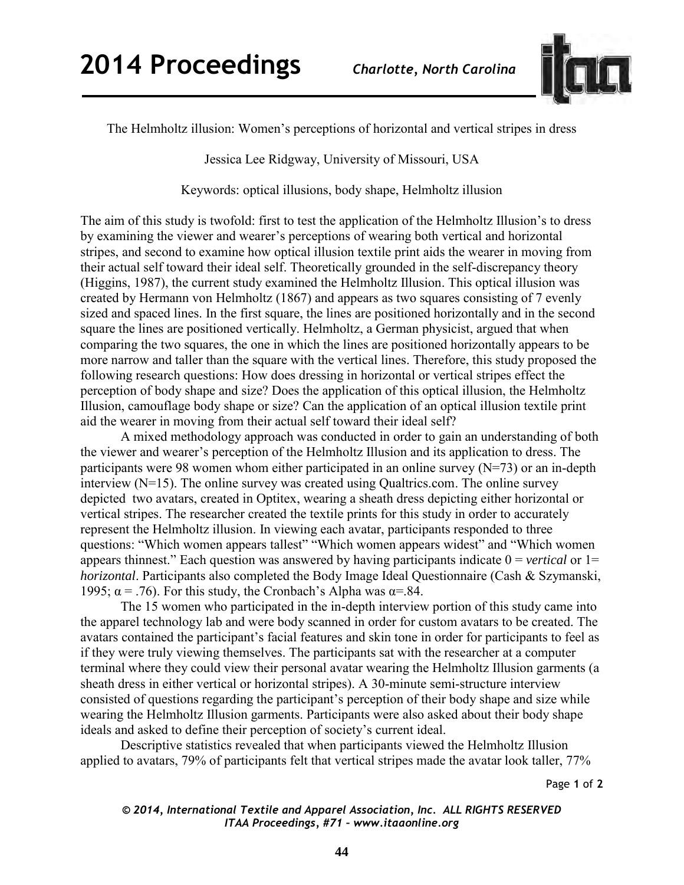

The Helmholtz illusion: Women's perceptions of horizontal and vertical stripes in dress

Jessica Lee Ridgway, University of Missouri, USA

Keywords: optical illusions, body shape, Helmholtz illusion

The aim of this study is twofold: first to test the application of the Helmholtz Illusion's to dress by examining the viewer and wearer's perceptions of wearing both vertical and horizontal stripes, and second to examine how optical illusion textile print aids the wearer in moving from their actual self toward their ideal self. Theoretically grounded in the self-discrepancy theory (Higgins, 1987), the current study examined the Helmholtz Illusion. This optical illusion was created by Hermann von Helmholtz (1867) and appears as two squares consisting of 7 evenly sized and spaced lines. In the first square, the lines are positioned horizontally and in the second square the lines are positioned vertically. Helmholtz, a German physicist, argued that when comparing the two squares, the one in which the lines are positioned horizontally appears to be more narrow and taller than the square with the vertical lines. Therefore, this study proposed the following research questions: How does dressing in horizontal or vertical stripes effect the perception of body shape and size? Does the application of this optical illusion, the Helmholtz Illusion, camouflage body shape or size? Can the application of an optical illusion textile print aid the wearer in moving from their actual self toward their ideal self?

A mixed methodology approach was conducted in order to gain an understanding of both the viewer and wearer's perception of the Helmholtz Illusion and its application to dress. The participants were 98 women whom either participated in an online survey (N=73) or an in-depth interview (N=15). The online survey was created using Qualtrics.com. The online survey depicted two avatars, created in Optitex, wearing a sheath dress depicting either horizontal or vertical stripes. The researcher created the textile prints for this study in order to accurately represent the Helmholtz illusion. In viewing each avatar, participants responded to three questions: "Which women appears tallest" "Which women appears widest" and "Which women appears thinnest." Each question was answered by having participants indicate 0 = *vertical* or 1= *horizontal*. Participants also completed the Body Image Ideal Questionnaire (Cash & Szymanski, 1995;  $\alpha$  = .76). For this study, the Cronbach's Alpha was  $\alpha$ =.84.

The 15 women who participated in the in-depth interview portion of this study came into the apparel technology lab and were body scanned in order for custom avatars to be created. The avatars contained the participant's facial features and skin tone in order for participants to feel as if they were truly viewing themselves. The participants sat with the researcher at a computer terminal where they could view their personal avatar wearing the Helmholtz Illusion garments (a sheath dress in either vertical or horizontal stripes). A 30-minute semi-structure interview consisted of questions regarding the participant's perception of their body shape and size while wearing the Helmholtz Illusion garments. Participants were also asked about their body shape ideals and asked to define their perception of society's current ideal.

Descriptive statistics revealed that when participants viewed the Helmholtz Illusion applied to avatars, 79% of participants felt that vertical stripes made the avatar look taller, 77%

Page **1** of **2** 

*© 2014, International Textile and Apparel Association, Inc. ALL RIGHTS RESERVED ITAA Proceedings, #71 – www.itaaonline.org*